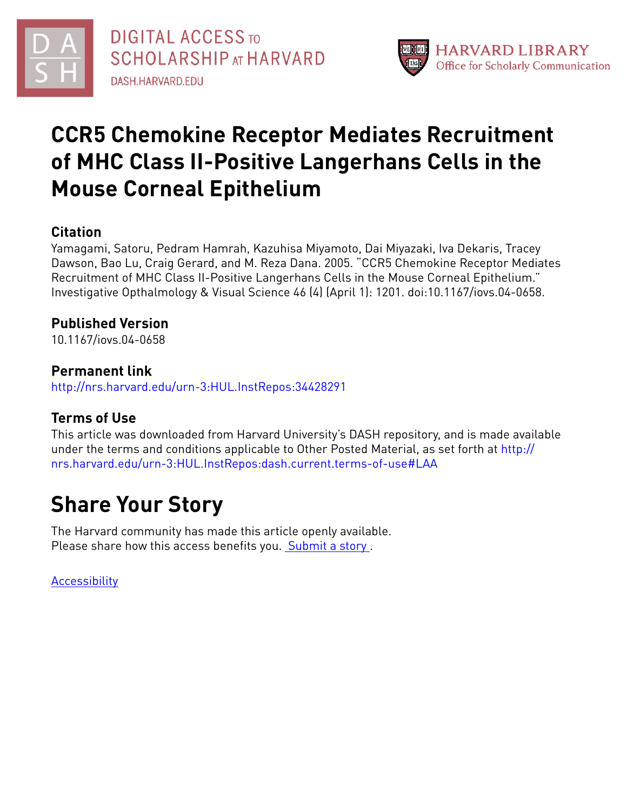



# **CCR5 Chemokine Receptor Mediates Recruitment of MHC Class II-Positive Langerhans Cells in the Mouse Corneal Epithelium**

# **Citation**

Yamagami, Satoru, Pedram Hamrah, Kazuhisa Miyamoto, Dai Miyazaki, Iva Dekaris, Tracey Dawson, Bao Lu, Craig Gerard, and M. Reza Dana. 2005. "CCR5 Chemokine Receptor Mediates Recruitment of MHC Class II-Positive Langerhans Cells in the Mouse Corneal Epithelium." Investigative Opthalmology & Visual Science 46 (4) (April 1): 1201. doi:10.1167/iovs.04-0658.

# **Published Version**

10.1167/iovs.04-0658

# **Permanent link**

<http://nrs.harvard.edu/urn-3:HUL.InstRepos:34428291>

# **Terms of Use**

This article was downloaded from Harvard University's DASH repository, and is made available under the terms and conditions applicable to Other Posted Material, as set forth at [http://](http://nrs.harvard.edu/urn-3:HUL.InstRepos:dash.current.terms-of-use#LAA) [nrs.harvard.edu/urn-3:HUL.InstRepos:dash.current.terms-of-use#LAA](http://nrs.harvard.edu/urn-3:HUL.InstRepos:dash.current.terms-of-use#LAA)

# **Share Your Story**

The Harvard community has made this article openly available. Please share how this access benefits you. [Submit](http://osc.hul.harvard.edu/dash/open-access-feedback?handle=&title=CCR5%20Chemokine%20Receptor%20Mediates%20Recruitment%20of%20MHC%20Class%20II-Positive%20Langerhans%20Cells%20in%20the%20Mouse%20Corneal%20Epithelium&community=1/4454685&collection=1/4454686&owningCollection1/4454686&harvardAuthors=35dc521acb9ad8c9f19db8cc4089c80c&department) a story.

[Accessibility](https://dash.harvard.edu/pages/accessibility)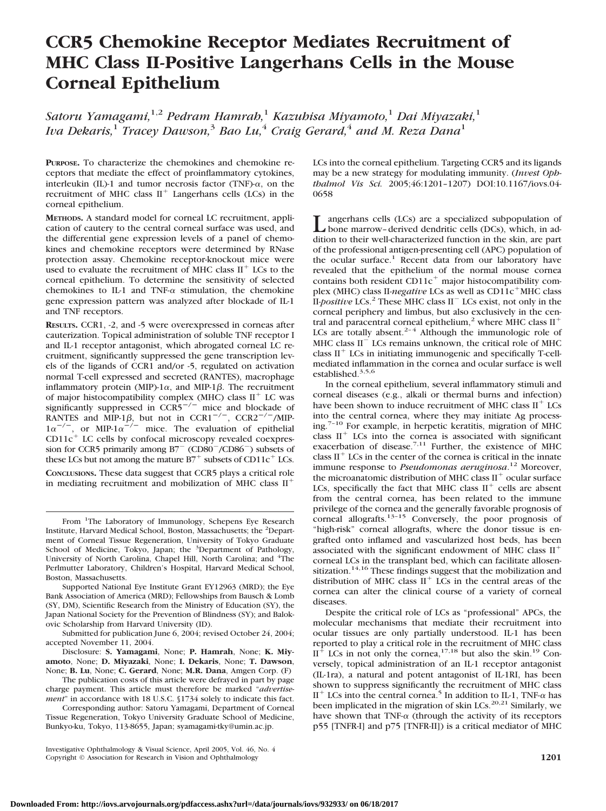# **CCR5 Chemokine Receptor Mediates Recruitment of MHC Class II-Positive Langerhans Cells in the Mouse Corneal Epithelium**

*Satoru Yamagami,*1,2 *Pedram Hamrah,*<sup>1</sup> *Kazuhisa Miyamoto,*<sup>1</sup> *Dai Miyazaki,*<sup>1</sup> *Iva Dekaris,*<sup>1</sup> *Tracey Dawson,*<sup>3</sup> *Bao Lu,*<sup>4</sup> *Craig Gerard,*<sup>4</sup> *and M. Reza Dana*<sup>1</sup>

**PURPOSE.** To characterize the chemokines and chemokine receptors that mediate the effect of proinflammatory cytokines, interleukin (IL)-1 and tumor necrosis factor (TNF)- $\alpha$ , on the recruitment of MHC class  $II^+$  Langerhans cells (LCs) in the corneal epithelium.

**METHODS.** A standard model for corneal LC recruitment, application of cautery to the central corneal surface was used, and the differential gene expression levels of a panel of chemokines and chemokine receptors were determined by RNase protection assay. Chemokine receptor-knockout mice were used to evaluate the recruitment of MHC class  $II<sup>+</sup>$  LCs to the corneal epithelium. To determine the sensitivity of selected chemokines to IL-1 and TNF- $\alpha$  stimulation, the chemokine gene expression pattern was analyzed after blockade of IL-1 and TNF receptors.

**RESULTS.** CCR1, -2, and -5 were overexpressed in corneas after cauterization. Topical administration of soluble TNF receptor I and IL-1 receptor antagonist, which abrogated corneal LC recruitment, significantly suppressed the gene transcription levels of the ligands of CCR1 and/or -5, regulated on activation normal T-cell expressed and secreted (RANTES), macrophage inflammatory protein (MIP)-1 $\alpha$ , and MIP-1 $\beta$ . The recruitment of major histocompatibility complex (MHC) class  $II^+$  LC was significantly suppressed in  $CCR5^{-/-}$  mice and blockade of RANTES and MIP-1 $\beta$ , but not in CCR1<sup>-/-</sup>, CCR2<sup>-/-</sup>/MIP- $1\alpha^{-/-}$ , or MIP-1 $\alpha^{-/-}$  mice. The evaluation of epithelial  $CD11c<sup>+</sup>$  LC cells by confocal microscopy revealed coexpression for CCR5 primarily among  $B7^-$  (CD80<sup>-</sup>/CD86<sup>-</sup>) subsets of these LCs but not among the mature  $B7^+$  subsets of CD11c<sup>+</sup> LCs.

**CONCLUSIONS.** These data suggest that CCR5 plays a critical role in mediating recruitment and mobilization of MHC class II

Supported National Eye Institute Grant EY12963 (MRD); the Eye Bank Association of America (MRD); Fellowships from Bausch & Lomb (SY, DM), Scientific Research from the Ministry of Education (SY), the Japan National Society for the Prevention of Blindness (SY); and Balokovic Scholarship from Harvard University (ID).

Submitted for publication June 6, 2004; revised October 24, 2004; accepted November 11, 2004.

Disclosure: **S. Yamagami**, None; **P. Hamrah**, None; **K. Miyamoto**, None; **D. Miyazaki**, None; **I. Dekaris**, None; **T. Dawson**, None; **B. Lu**, None; **C. Gerard**, None; **M.R. Dana**, Amgen Corp. (F)

The publication costs of this article were defrayed in part by page charge payment. This article must therefore be marked "*advertisement*" in accordance with 18 U.S.C. §1734 solely to indicate this fact.

Corresponding author: Satoru Yamagami, Department of Corneal Tissue Regeneration, Tokyo University Graduate School of Medicine, Bunkyo-ku, Tokyo, 113-8655, Japan; syamagami-tky@umin.ac.jp.

LCs into the corneal epithelium. Targeting CCR5 and its ligands may be a new strategy for modulating immunity. (*Invest Ophthalmol Vis Sci.* 2005;46:1201–1207) DOI:10.1167/iovs.04- 0658

Langerhans cells (LCs) are a specialized subpopulation of<br>bone marrow–derived dendritic cells (DCs), which, in ad-<br>distance designed denoting in the ship subjection dition to their well-characterized function in the skin, are part of the professional antigen-presenting cell (APC) population of the ocular surface.<sup>1</sup> Recent data from our laboratory have revealed that the epithelium of the normal mouse cornea contains both resident  $CD11c<sup>+</sup>$  major histocompatibility complex (MHC) class II-*negative* LCs as well as CD11c<sup>+</sup>MHC class II-*positive* LCs.<sup>2</sup> These MHC class II<sup>-</sup> LCs exist, not only in the corneal periphery and limbus, but also exclusively in the central and paracentral corneal epithelium,<sup>2</sup> where MHC class  $II<sup>+</sup>$ LCs are totally absent.<sup>2-4</sup> Although the immunologic role of MHC class II<sup>-</sup> LCs remains unknown, the critical role of MHC class  $II<sup>+</sup>$  LCs in initiating immunogenic and specifically T-cellmediated inflammation in the cornea and ocular surface is well established.<sup>3,5,6</sup>

In the corneal epithelium, several inflammatory stimuli and corneal diseases (e.g., alkali or thermal burns and infection) have been shown to induce recruitment of MHC class  $II<sup>+</sup>$  LCs into the central cornea, where they may initiate Ag processing.7–10 For example, in herpetic keratitis, migration of MHC class  $II^{+}$  LCs into the cornea is associated with significant exacerbation of disease.<sup>7,11</sup> Further, the existence of MHC class  $II<sup>+</sup>$  LCs in the center of the cornea is critical in the innate immune response to *Pseudomonas aeruginosa*. <sup>12</sup> Moreover, the microanatomic distribution of MHC class  $II^+$  ocular surface LCs, specifically the fact that MHC class  $II<sup>+</sup>$  cells are absent from the central cornea, has been related to the immune privilege of the cornea and the generally favorable prognosis of corneal allografts. $13-15$  Conversely, the poor prognosis of "high-risk" corneal allografts, where the donor tissue is engrafted onto inflamed and vascularized host beds, has been associated with the significant endowment of MHC class II corneal LCs in the transplant bed, which can facilitate allosensitization.<sup>14,16</sup> These findings suggest that the mobilization and distribution of MHC class  $II^+$  LCs in the central areas of the cornea can alter the clinical course of a variety of corneal diseases.

Despite the critical role of LCs as "professional" APCs, the molecular mechanisms that mediate their recruitment into ocular tissues are only partially understood. IL-1 has been reported to play a critical role in the recruitment of MHC class  $II^+$  LCs in not only the cornea,<sup>17,18</sup> but also the skin.<sup>19</sup> Conversely, topical administration of an IL-1 receptor antagonist (IL-1ra), a natural and potent antagonist of IL-1RI, has been shown to suppress significantly the recruitment of MHC class II<sup>+</sup> LCs into the central cornea.<sup>5</sup> In addition to IL-1, TNF- $\alpha$  has been implicated in the migration of skin LCs.<sup>20,21</sup> Similarly, we have shown that TNF- $\alpha$  (through the activity of its receptors p55 [TNFR-I] and p75 [TNFR-II]) is a critical mediator of MHC

From <sup>1</sup>The Laboratory of Immunology, Schepens Eye Research Institute, Harvard Medical School, Boston, Massachusetts; the <sup>2</sup> Department of Corneal Tissue Regeneration, University of Tokyo Graduate School of Medicine, Tokyo, Japan; the <sup>3</sup>Department of Pathology, University of North Carolina, Chapel Hill, North Carolina; and <sup>4</sup>The Perlmutter Laboratory, Children's Hospital, Harvard Medical School, Boston, Massachusetts.

Investigative Ophthalmology & Visual Science, April 2005, Vol. 46, No. 4 Copyright © Association for Research in Vision and Ophthalmology **1201**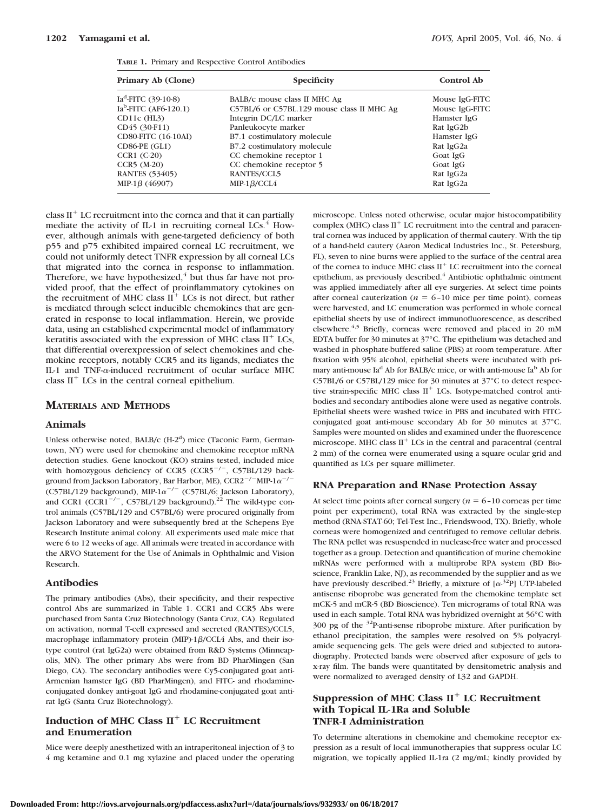| Primary Ab (Clone)                | <b>Specificity</b>                         | <b>Control Ab</b> |
|-----------------------------------|--------------------------------------------|-------------------|
| Ia <sup>d</sup> -FITC (39-10-8)   | BALB/c mouse class II MHC Ag               | Mouse IgG-FITC    |
| Ia <sup>b</sup> -FITC (AF6-120.1) | C57BL/6 or C57BL.129 mouse class II MHC Ag | Mouse IgG-FITC    |
| $CD11c$ (HL3)                     | Integrin DC/LC marker                      | Hamster IgG       |
| CD45 (30-F11)                     | Panleukocyte marker                        | Rat IgG2b         |
| CD80-FITC (16-10AI)               | B7.1 costimulatory molecule                | Hamster IgG       |
| CD86-PE (GL1)                     | B7.2 costimulatory molecule                | Rat IgG2a         |
| CCR1 (C-20)                       | CC chemokine receptor 1                    | Goat IgG          |
| $CCR5$ (M-20)                     | CC chemokine receptor 5                    | Goat IgG          |
| <b>RANTES (53405)</b>             | RANTES/CCL5                                | Rat IgG2a         |
| MIP-1 $\beta$ (46907)             | MIP-1 $\beta$ /CCL4                        | Rat IgG2a         |
|                                   |                                            |                   |

**TABLE 1.** Primary and Respective Control Antibodies

class  $II<sup>+</sup>$  LC recruitment into the cornea and that it can partially mediate the activity of IL-1 in recruiting corneal LCs. $4$  However, although animals with gene-targeted deficiency of both p55 and p75 exhibited impaired corneal LC recruitment, we could not uniformly detect TNFR expression by all corneal LCs that migrated into the cornea in response to inflammation. Therefore, we have hypothesized, $4$  but thus far have not provided proof, that the effect of proinflammatory cytokines on the recruitment of MHC class  $II^+$  LCs is not direct, but rather is mediated through select inducible chemokines that are generated in response to local inflammation. Herein, we provide data, using an established experimental model of inflammatory keratitis associated with the expression of MHC class  $II<sup>+</sup>$  LCs, that differential overexpression of select chemokines and chemokine receptors, notably CCR5 and its ligands, mediates the IL-1 and TNF- $\alpha$ -induced recruitment of ocular surface MHC class  $II<sup>+</sup>$  LCs in the central corneal epithelium.

### **MATERIALS AND METHODS**

#### **Animals**

Unless otherwise noted, BALB/c (H-2<sup>d</sup>) mice (Taconic Farm, Germantown, NY) were used for chemokine and chemokine receptor mRNA detection studies. Gene knockout (KO) strains tested, included mice with homozygous deficiency of CCR5 (CCR5<sup>-/-</sup>, C57BL/129 background from Jackson Laboratory, Bar Harbor, ME),  $\textrm{CCR2}^{-/-} \textrm{MIP-1}\alpha^{-/-}$ (C57BL/129 background), MIP-1 $\alpha^{-/-}$  (C57BL/6; Jackson Laboratory), and CCR1 (CCR1<sup>-/-</sup>, C57BL/129 background).<sup>22</sup> The wild-type control animals (C57BL/129 and C57BL/6) were procured originally from Jackson Laboratory and were subsequently bred at the Schepens Eye Research Institute animal colony. All experiments used male mice that were 6 to 12 weeks of age. All animals were treated in accordance with the ARVO Statement for the Use of Animals in Ophthalmic and Vision Research.

#### **Antibodies**

The primary antibodies (Abs), their specificity, and their respective control Abs are summarized in Table 1. CCR1 and CCR5 Abs were purchased from Santa Cruz Biotechnology (Santa Cruz, CA). Regulated on activation, normal T-cell expressed and secreted (RANTES)/CCL5, macrophage inflammatory protein (MIP)-1 $\beta$ /CCL4 Abs, and their isotype control (rat IgG2a) were obtained from R&D Systems (Minneapolis, MN). The other primary Abs were from BD PharMingen (San Diego, CA). The secondary antibodies were Cy5-conjugated goat anti-Armenian hamster IgG (BD PharMingen), and FITC- and rhodamineconjugated donkey anti-goat IgG and rhodamine-conjugated goat antirat IgG (Santa Cruz Biotechnology).

# **Induction of MHC Class II**- **LC Recruitment and Enumeration**

Mice were deeply anesthetized with an intraperitoneal injection of 3 to 4 mg ketamine and 0.1 mg xylazine and placed under the operating microscope. Unless noted otherwise, ocular major histocompatibility complex (MHC) class  $II<sup>+</sup>$  LC recruitment into the central and paracentral cornea was induced by application of thermal cautery. With the tip of a hand-held cautery (Aaron Medical Industries Inc., St. Petersburg, FL), seven to nine burns were applied to the surface of the central area of the cornea to induce MHC class  $II<sup>+</sup>$  LC recruitment into the corneal epithelium, as previously described.<sup>4</sup> Antibiotic ophthalmic ointment was applied immediately after all eye surgeries. At select time points after corneal cauterization ( $n = 6-10$  mice per time point), corneas were harvested, and LC enumeration was performed in whole corneal epithelial sheets by use of indirect immunofluorescence, as described elsewhere.<sup>4,5</sup> Briefly, corneas were removed and placed in 20 mM EDTA buffer for 30 minutes at 37°C. The epithelium was detached and washed in phosphate-buffered saline (PBS) at room temperature. After fixation with 95% alcohol, epithelial sheets were incubated with primary anti-mouse Ia<sup>d</sup> Ab for BALB/c mice, or with anti-mouse Ia<sup>b</sup> Ab for C57BL/6 or C57BL/129 mice for 30 minutes at 37°C to detect respective strain-specific MHC class  $II<sup>+</sup>$  LCs. Isotype-matched control antibodies and secondary antibodies alone were used as negative controls. Epithelial sheets were washed twice in PBS and incubated with FITCconjugated goat anti-mouse secondary Ab for 30 minutes at 37°C. Samples were mounted on slides and examined under the fluorescence microscope. MHC class  $II<sup>+</sup>$  LCs in the central and paracentral (central 2 mm) of the cornea were enumerated using a square ocular grid and quantified as LCs per square millimeter.

#### **RNA Preparation and RNase Protection Assay**

At select time points after corneal surgery  $(n = 6 - 10)$  corneas per time point per experiment), total RNA was extracted by the single-step method (RNA-STAT-60; Tel-Test Inc., Friendswood, TX). Briefly, whole corneas were homogenized and centrifuged to remove cellular debris. The RNA pellet was resuspended in nuclease-free water and processed together as a group. Detection and quantification of murine chemokine mRNAs were performed with a multiprobe RPA system (BD Bioscience, Franklin Lake, NJ), as recommended by the supplier and as we have previously described.<sup>23</sup> Briefly, a mixture of  $[\alpha^{32}P]$  UTP-labeled antisense riboprobe was generated from the chemokine template set mCK-5 and mCR-5 (BD Bioscience). Ten micrograms of total RNA was used in each sample. Total RNA was hybridized overnight at 56°C with 300 pg of the 32P-anti-sense riboprobe mixture. After purification by ethanol precipitation, the samples were resolved on 5% polyacrylamide sequencing gels. The gels were dried and subjected to autoradiography. Protected bands were observed after exposure of gels to x-ray film. The bands were quantitated by densitometric analysis and were normalized to averaged density of L32 and GAPDH.

## **Suppression of MHC Class II**- **LC Recruitment with Topical IL-1Ra and Soluble TNFR-I Administration**

To determine alterations in chemokine and chemokine receptor expression as a result of local immunotherapies that suppress ocular LC migration, we topically applied IL-1ra (2 mg/mL; kindly provided by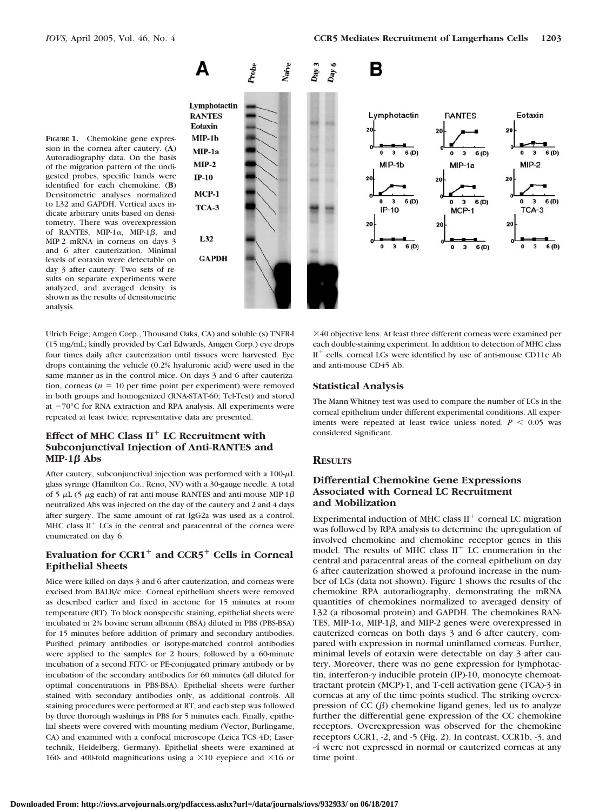

Autoradiography data. On the basis of the migration pattern of the undigested probes, specific bands were identified for each chemokine. (**B**) Densitometric analyses normalized to L32 and GAPDH. Vertical axes indicate arbitrary units based on densitometry. There was overexpression of RANTES, MIP-1 $\alpha$ , MIP-1 $\beta$ , and MIP-2 mRNA in corneas on days 3 and 6 after cauterization. Minimal levels of eotaxin were detectable on day 3 after cautery. Two sets of results on separate experiments were analyzed, and averaged density is shown as the results of densitometric analysis.

Ulrich Feige; Amgen Corp., Thousand Oaks, CA) and soluble (s) TNFR-I (15 mg/mL; kindly provided by Carl Edwards, Amgen Corp.) eye drops four times daily after cauterization until tissues were harvested. Eye drops containing the vehicle (0.2% hyaluronic acid) were used in the same manner as in the control mice. On days 3 and 6 after cauterization, corneas ( $n = 10$  per time point per experiment) were removed in both groups and homogenized (RNA-STAT-60; Tel-Test) and stored at  $-70^{\circ}$ C for RNA extraction and RPA analysis. All experiments were repeated at least twice; representative data are presented.

# **Effect of MHC Class II**- **LC Recruitment with Subconjunctival Injection of Anti-RANTES and MIP-1** $\beta$  Abs

After cautery, subconjunctival injection was performed with a  $100 - \mu L$ glass syringe (Hamilton Co., Reno, NV) with a 30-gauge needle. A total of 5  $\mu$ L (5  $\mu$ g each) of rat anti-mouse RANTES and anti-mouse MIP-1 $\beta$ neutralized Abs was injected on the day of the cautery and 2 and 4 days after surgery. The same amount of rat IgG2a was used as a control. MHC class  $II^{+}$  LCs in the central and paracentral of the cornea were enumerated on day 6.

# **Evaluation for CCR1**- **and CCR5**- **Cells in Corneal Epithelial Sheets**

Mice were killed on days 3 and 6 after cauterization, and corneas were excised from BALB/c mice. Corneal epithelium sheets were removed as described earlier and fixed in acetone for 15 minutes at room temperature (RT). To block nonspecific staining, epithelial sheets were incubated in 2% bovine serum albumin (BSA) diluted in PBS (PBS-BSA) for 15 minutes before addition of primary and secondary antibodies. Purified primary antibodies or isotype-matched control antibodies were applied to the samples for 2 hours, followed by a 60-minute incubation of a second FITC- or PE-conjugated primary antibody or by incubation of the secondary antibodies for 60 minutes (all diluted for optimal concentrations in PBS-BSA). Epithelial sheets were further stained with secondary antibodies only, as additional controls. All staining procedures were performed at RT, and each step was followed by three thorough washings in PBS for 5 minutes each. Finally, epithelial sheets were covered with mounting medium (Vector, Burlingame, CA) and examined with a confocal microscope (Leica TCS 4D; Lasertechnik, Heidelberg, Germany). Epithelial sheets were examined at 160- and 400-fold magnifications using a  $\times$  10 eyepiece and  $\times$  16 or

40 objective lens. At least three different corneas were examined per each double-staining experiment. In addition to detection of MHC class  $\rm{II}^{+}$  cells, corneal LCs were identified by use of anti-mouse CD11c Ab and anti-mouse CD45 Ab.

#### **Statistical Analysis**

The Mann-Whitney test was used to compare the number of LCs in the corneal epithelium under different experimental conditions. All experiments were repeated at least twice unless noted.  $P < 0.05$  was considered significant.

#### **RESULTS**

## **Differential Chemokine Gene Expressions Associated with Corneal LC Recruitment and Mobilization**

Experimental induction of MHC class  $II<sup>+</sup>$  corneal LC migration was followed by RPA analysis to determine the upregulation of involved chemokine and chemokine receptor genes in this model. The results of MHC class  $II<sup>+</sup>$  LC enumeration in the central and paracentral areas of the corneal epithelium on day 6 after cauterization showed a profound increase in the number of LCs (data not shown). Figure 1 shows the results of the chemokine RPA autoradiography, demonstrating the mRNA quantities of chemokines normalized to averaged density of L32 (a ribosomal protein) and GAPDH. The chemokines RAN-TES, MIP-1 $\alpha$ , MIP-1 $\beta$ , and MIP-2 genes were overexpressed in cauterized corneas on both days 3 and 6 after cautery, compared with expression in normal uninflamed corneas. Further, minimal levels of eotaxin were detectable on day 3 after cautery. Moreover, there was no gene expression for lymphotactin, interferon- $\gamma$  inducible protein (IP)-10, monocyte chemoattractant protein (MCP)-1, and T-cell activation gene (TCA)-3 in corneas at any of the time points studied. The striking overexpression of CC  $(\beta)$  chemokine ligand genes, led us to analyze further the differential gene expression of the CC chemokine receptors. Overexpression was observed for the chemokine receptors CCR1, -2, and -5 (Fig. 2). In contrast, CCR1b, -3, and -4 were not expressed in normal or cauterized corneas at any time point.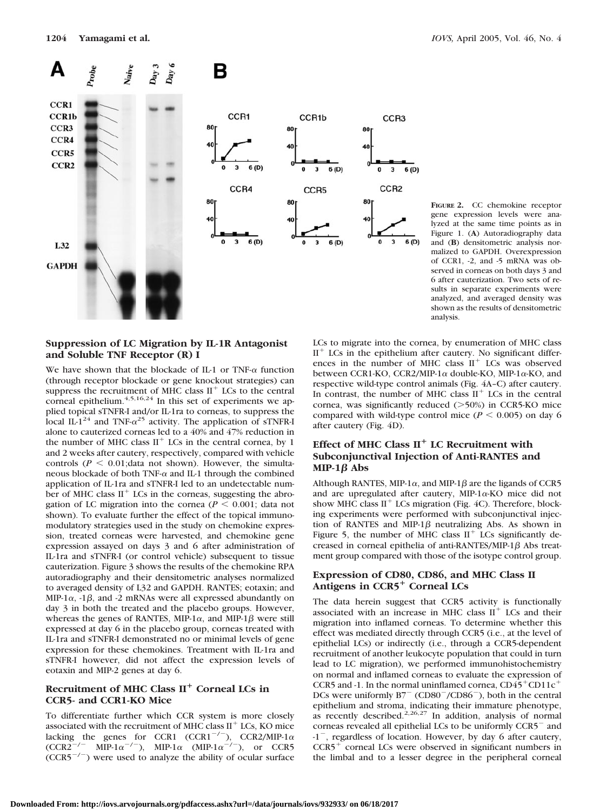

**FIGURE 2.** CC chemokine receptor gene expression levels were analyzed at the same time points as in Figure 1. (**A**) Autoradiography data and (**B**) densitometric analysis normalized to GAPDH. Overexpression of CCR1, -2, and -5 mRNA was observed in corneas on both days 3 and 6 after cauterization. Two sets of results in separate experiments were analyzed, and averaged density was shown as the results of densitometric analysis.

## **Suppression of LC Migration by IL-1R Antagonist and Soluble TNF Receptor (R) I**

We have shown that the blockade of IL-1 or TNF- $\alpha$  function (through receptor blockade or gene knockout strategies) can suppress the recruitment of MHC class  $II<sup>+</sup>$  LCs to the central corneal epithelium. $4,5,16,24$  In this set of experiments we applied topical sTNFR-I and/or IL-1ra to corneas, to suppress the local IL-1<sup>24</sup> and TNF- $\alpha^{25}$  activity. The application of sTNFR-I alone to cauterized corneas led to a 40% and 47% reduction in the number of MHC class  $II<sup>+</sup>$  LCs in the central cornea, by 1 and 2 weeks after cautery, respectively, compared with vehicle controls ( $P \le 0.01$ ; data not shown). However, the simultaneous blockade of both TNF- $\alpha$  and IL-1 through the combined application of IL-1ra and sTNFR-I led to an undetectable number of MHC class  $II<sup>+</sup>$  LCs in the corneas, suggesting the abrogation of LC migration into the cornea ( $P \le 0.001$ ; data not shown). To evaluate further the effect of the topical immunomodulatory strategies used in the study on chemokine expression, treated corneas were harvested, and chemokine gene expression assayed on days 3 and 6 after administration of IL-1ra and sTNFR-I (or control vehicle) subsequent to tissue cauterization. Figure 3 shows the results of the chemokine RPA autoradiography and their densitometric analyses normalized to averaged density of L32 and GAPDH. RANTES; eotaxin; and MIP-1 $\alpha$ , -1 $\beta$ , and -2 mRNAs were all expressed abundantly on day 3 in both the treated and the placebo groups. However, whereas the genes of RANTES, MIP-1 $\alpha$ , and MIP-1 $\beta$  were still expressed at day 6 in the placebo group, corneas treated with IL-1ra and sTNFR-I demonstrated no or minimal levels of gene expression for these chemokines. Treatment with IL-1ra and sTNFR-I however, did not affect the expression levels of eotaxin and MIP-2 genes at day 6.

# **Recruitment of MHC Class II**- **Corneal LCs in CCR5- and CCR1-KO Mice**

To differentiate further which CCR system is more closely associated with the recruitment of MHC class  $II<sup>+</sup>$  LCs, KO mice lacking the genes for CCR1 (CCR1<sup>-/-</sup>), CCR2/MIP-1 $\alpha$ <br>(CCR2<sup>-/-</sup> MIP-1 $\alpha^{-/-}$ ), MIP-1 $\alpha$  (MIP-1 $\alpha^{-/-}$ ), or CCR5  $(CCR5^{-/-})$  were used to analyze the ability of ocular surface

LCs to migrate into the cornea, by enumeration of MHC class  $II<sup>+</sup>$  LCs in the epithelium after cautery. No significant differences in the number of MHC class  $II<sup>+</sup>$  LCs was observed between CCR1-KO, CCR2/MIP-1 $\alpha$  double-KO, MIP-1 $\alpha$ -KO, and respective wild-type control animals (Fig. 4A–C) after cautery. In contrast, the number of MHC class  $II<sup>+</sup>$  LCs in the central cornea, was significantly reduced  $($ >50%) in CCR5-KO mice compared with wild-type control mice ( $P \le 0.005$ ) on day 6 after cautery (Fig. 4D).

# **Effect of MHC Class II**- **LC Recruitment with Subconjunctival Injection of Anti-RANTES and**  $MP-1\beta$  Abs

Although RANTES, MIP-1 $\alpha$ , and MIP-1 $\beta$  are the ligands of CCR5 and are upregulated after cautery, MIP-1 $\alpha$ -KO mice did not show MHC class  $II^{+}$  LCs migration (Fig. 4C). Therefore, blocking experiments were performed with subconjunctival injection of RANTES and MIP-1 $\beta$  neutralizing Abs. As shown in Figure 5, the number of MHC class  $II^+$  LCs significantly decreased in corneal epithelia of anti-RANTES/MIP-1 $\beta$  Abs treatment group compared with those of the isotype control group.

## **Expression of CD80, CD86, and MHC Class II Antigens in CCR5**- **Corneal LCs**

The data herein suggest that CCR5 activity is functionally associated with an increase in MHC class  $II<sup>+</sup>$  LCs and their migration into inflamed corneas. To determine whether this effect was mediated directly through CCR5 (i.e., at the level of epithelial LCs) or indirectly (i.e., through a CCR5-dependent recruitment of another leukocyte population that could in turn lead to LC migration), we performed immunohistochemistry on normal and inflamed corneas to evaluate the expression of CCR5 and -1. In the normal uninflamed cornea,  $CD45^+CD11c^+$ DCs were uniformly  $B7^-$  (CD80<sup>-</sup>/CD86<sup>-</sup>), both in the central epithelium and stroma, indicating their immature phenotype, as recently described.<sup>2,26,27</sup> In addition, analysis of normal corneas revealed all epithelial LCs to be uniformly CCR5<sup>-</sup> and -1<sup>-</sup>, regardless of location. However, by day 6 after cautery,  $CCR5<sup>+</sup>$  corneal LCs were observed in significant numbers in the limbal and to a lesser degree in the peripheral corneal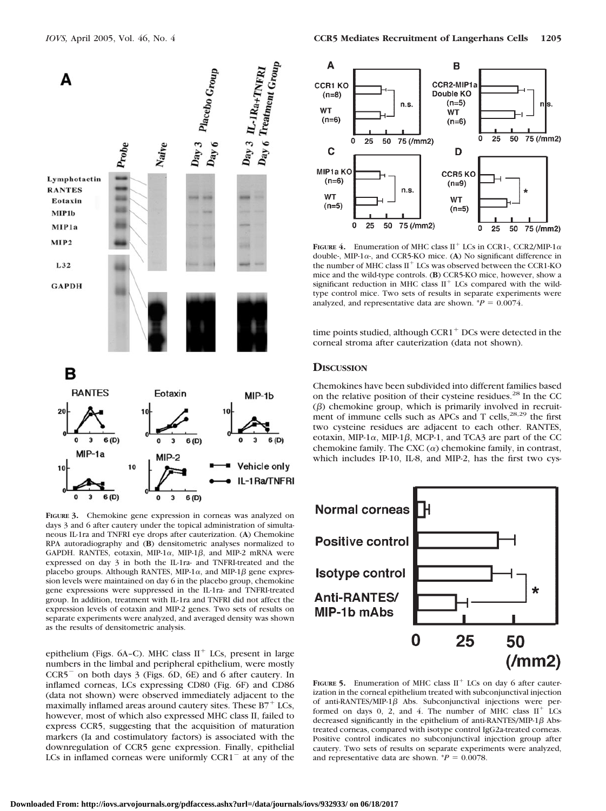

**FIGURE 3.** Chemokine gene expression in corneas was analyzed on days 3 and 6 after cautery under the topical administration of simultaneous IL-1ra and TNFRI eye drops after cauterization. (**A**) Chemokine RPA autoradiography and (**B**) densitometric analyses normalized to GAPDH. RANTES, eotaxin, MIP-1 $\alpha$ , MIP-1 $\beta$ , and MIP-2 mRNA were expressed on day 3 in both the IL-1ra- and TNFRI-treated and the placebo groups. Although RANTES, MIP-1 $\alpha$ , and MIP-1 $\beta$  gene expression levels were maintained on day 6 in the placebo group, chemokine gene expressions were suppressed in the IL-1ra- and TNFRI-treated group. In addition, treatment with IL-1ra and TNFRI did not affect the expression levels of eotaxin and MIP-2 genes. Two sets of results on separate experiments were analyzed, and averaged density was shown as the results of densitometric analysis.

epithelium (Figs. 6A–C). MHC class  $II<sup>+</sup>$  LCs, present in large numbers in the limbal and peripheral epithelium, were mostly CCR5- on both days 3 (Figs. 6D, 6E) and 6 after cautery. In inflamed corneas, LCs expressing CD80 (Fig. 6F) and CD86 (data not shown) were observed immediately adjacent to the maximally inflamed areas around cautery sites. These  $B7^+$  LCs, however, most of which also expressed MHC class II, failed to express CCR5, suggesting that the acquisition of maturation markers (Ia and costimulatory factors) is associated with the downregulation of CCR5 gene expression. Finally, epithelial LCs in inflamed corneas were uniformly  $CCR1$ <sup>-</sup> at any of the



**FIGURE 4.** Enumeration of MHC class II<sup>+</sup> LCs in CCR1-, CCR2/MIP-1 $\alpha$ double-, MIP-1 $\alpha$ -, and CCR5-KO mice. (A) No significant difference in the number of MHC class II<sup>+</sup> LCs was observed between the CCR1-KO mice and the wild-type controls. (**B**) CCR5-KO mice, however, show a significant reduction in MHC class  $II<sup>+</sup>$  LCs compared with the wildtype control mice. Two sets of results in separate experiments were analyzed, and representative data are shown.  $P = 0.0074$ .

time points studied, although  $CCR1<sup>+</sup> DCs$  were detected in the corneal stroma after cauterization (data not shown).

#### **DISCUSSION**

Chemokines have been subdivided into different families based on the relative position of their cysteine residues.<sup>28</sup> In the CC  $(\beta)$  chemokine group, which is primarily involved in recruitment of immune cells such as APCs and T cells, $28,29$  the first two cysteine residues are adjacent to each other. RANTES, eotaxin, MIP-1 $\alpha$ , MIP-1 $\beta$ , MCP-1, and TCA3 are part of the CC chemokine family. The CXC  $(\alpha)$  chemokine family, in contrast, which includes IP-10, IL-8, and MIP-2, has the first two cys-



**FIGURE 5.** Enumeration of MHC class  $II^+$  LCs on day 6 after cauterization in the corneal epithelium treated with subconjunctival injection of anti-RANTES/MIP-1 $\beta$  Abs. Subconjunctival injections were performed on days 0, 2, and 4. The number of MHC class  $II^+$  LCs decreased significantly in the epithelium of anti-RANTES/MIP-1 $\beta$  Abstreated corneas, compared with isotype control IgG2a-treated corneas. Positive control indicates no subconjunctival injection group after cautery. Two sets of results on separate experiments were analyzed, and representative data are shown.  $^{*}P = 0.0078$ .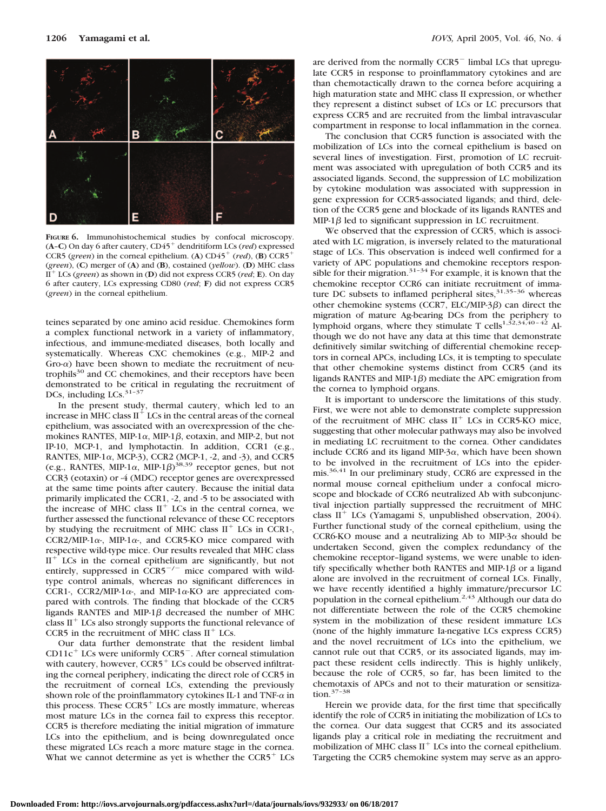

**FIGURE 6.** Immunohistochemical studies by confocal microscopy. (A–C) On day 6 after cautery, CD45<sup>+</sup> dendritiform LCs (*red*) expressed CCR5 (*green*) in the corneal epithelium. (A)  $CD45^+$  (*red*), (B)  $CCR5^+$ (*green*), (**C**) merger of (**A**) and (**B**), costained (*yellow*). (**D**) MHC class II<sup>+</sup> LCs (*green*) as shown in (**D**) did not express CCR5 (*red*; **E**). On day 6 after cautery, LCs expressing CD80 (*red*; **F**) did not express CCR5 (*green*) in the corneal epithelium.

teines separated by one amino acid residue. Chemokines form a complex functional network in a variety of inflammatory, infectious, and immune-mediated diseases, both locally and systematically. Whereas CXC chemokines (e.g., MIP-2 and  $Gro-\alpha$ ) have been shown to mediate the recruitment of neutrophils<sup>30</sup> and CC chemokines, and their receptors have been demonstrated to be critical in regulating the recruitment of DCs, including LCs. $31-37$ 

In the present study, thermal cautery, which led to an increase in MHC class  $II<sup>+</sup>$  LCs in the central areas of the corneal epithelium, was associated with an overexpression of the chemokines RANTES, MIP-1 $\alpha$ , MIP-1 $\beta$ , eotaxin, and MIP-2, but not IP-10, MCP-1, and lymphotactin. In addition, CCR1 (e.g., RANTES, MIP-1 $\alpha$ , MCP-3), CCR2 (MCP-1, -2, and -3), and CCR5 (e.g., RANTES, MIP-1 $\alpha$ , MIP-1 $\beta$ )<sup>38,39</sup> receptor genes, but not CCR3 (eotaxin) or -4 (MDC) receptor genes are overexpressed at the same time points after cautery. Because the initial data primarily implicated the CCR1, -2, and -5 to be associated with the increase of MHC class  $II<sup>+</sup>$  LCs in the central cornea, we further assessed the functional relevance of these CC receptors by studying the recruitment of MHC class  $II^+$  LCs in CCR1-, CCR2/MIP-1 $\alpha$ -, MIP-1 $\alpha$ -, and CCR5-KO mice compared with respective wild-type mice. Our results revealed that MHC class  $II<sup>+</sup>$  LCs in the corneal epithelium are significantly, but not entirely, suppressed in  $CCR5^{-/-}$  mice compared with wildtype control animals, whereas no significant differences in CCR1-, CCR2/MIP-1 $\alpha$ -, and MIP-1 $\alpha$ -KO are appreciated compared with controls. The finding that blockade of the CCR5 ligands RANTES and MIP-1 $\beta$  decreased the number of MHC class  $II<sup>+</sup>$  LCs also strongly supports the functional relevance of CCR5 in the recruitment of MHC class  $II<sup>+</sup>$  LCs.

Our data further demonstrate that the resident limbal  $CD11c<sup>+</sup>$  LCs were uniformly CCR5<sup>-</sup>. After corneal stimulation with cautery, however,  $CCR5<sup>+</sup>$  LCs could be observed infiltrating the corneal periphery, indicating the direct role of CCR5 in the recruitment of corneal LCs, extending the previously shown role of the proinflammatory cytokines IL-1 and TNF- $\alpha$  in this process. These  $CCR5<sup>+</sup>$  LCs are mostly immature, whereas most mature LCs in the cornea fail to express this receptor. CCR5 is therefore mediating the initial migration of immature LCs into the epithelium, and is being downregulated once these migrated LCs reach a more mature stage in the cornea. What we cannot determine as yet is whether the  $CCR5<sup>+</sup> LCs$ 

are derived from the normally CCR5<sup>-</sup> limbal LCs that upregulate CCR5 in response to proinflammatory cytokines and are than chemotactically drawn to the cornea before acquiring a high maturation state and MHC class II expression, or whether they represent a distinct subset of LCs or LC precursors that express CCR5 and are recruited from the limbal intravascular compartment in response to local inflammation in the cornea.

The conclusion that CCR5 function is associated with the mobilization of LCs into the corneal epithelium is based on several lines of investigation. First, promotion of LC recruitment was associated with upregulation of both CCR5 and its associated ligands. Second, the suppression of LC mobilization by cytokine modulation was associated with suppression in gene expression for CCR5-associated ligands; and third, deletion of the CCR5 gene and blockade of its ligands RANTES and  $MIP-1\beta$  led to significant suppression in LC recruitment.

We observed that the expression of CCR5, which is associated with LC migration, is inversely related to the maturational stage of LCs. This observation is indeed well confirmed for a variety of APC populations and chemokine receptors responsible for their migration.<sup>31–34</sup> For example, it is known that the chemokine receptor CCR6 can initiate recruitment of immature DC subsets to inflamed peripheral sites, 31,35-36 whereas other chemokine systems (CCR7, ELC/MIP-3 $\beta$ ) can direct the migration of mature Ag-bearing DCs from the periphery to lymphoid organs, where they stimulate T cells<sup>1,52,34,40-42</sup> Although we do not have any data at this time that demonstrate definitively similar switching of differential chemokine receptors in corneal APCs, including LCs, it is tempting to speculate that other chemokine systems distinct from CCR5 (and its ligands RANTES and MIP-1 $\beta$ ) mediate the APC emigration from the cornea to lymphoid organs.

It is important to underscore the limitations of this study. First, we were not able to demonstrate complete suppression of the recruitment of MHC class  $II<sup>+</sup>$  LCs in CCR5-KO mice, suggesting that other molecular pathways may also be involved in mediating LC recruitment to the cornea. Other candidates include CCR6 and its ligand MIP- $3\alpha$ , which have been shown to be involved in the recruitment of LCs into the epidermis.<sup>36,41</sup> In our preliminary study, CCR6 are expressed in the normal mouse corneal epithelium under a confocal microscope and blockade of CCR6 neutralized Ab with subconjunctival injection partially suppressed the recruitment of MHC class  $II^+$  LCs (Yamagami S, unpublished observation, 2004). Further functional study of the corneal epithelium, using the CCR6-KO mouse and a neutralizing Ab to MIP- $3\alpha$  should be undertaken Second, given the complex redundancy of the chemokine receptor–ligand systems, we were unable to identify specifically whether both RANTES and MIP-1 $\beta$  or a ligand alone are involved in the recruitment of corneal LCs. Finally, we have recently identified a highly immature/precursor LC population in the corneal epithelium.<sup>2,43</sup> Although our data do not differentiate between the role of the CCR5 chemokine system in the mobilization of these resident immature LCs (none of the highly immature Ia-negative LCs express CCR5) and the novel recruitment of LCs into the epithelium, we cannot rule out that CCR5, or its associated ligands, may impact these resident cells indirectly. This is highly unlikely, because the role of CCR5, so far, has been limited to the chemotaxis of APCs and not to their maturation or sensitization.37–38

Herein we provide data, for the first time that specifically identify the role of CCR5 in initiating the mobilization of LCs to the cornea. Our data suggest that CCR5 and its associated ligands play a critical role in mediating the recruitment and mobilization of MHC class  $II<sup>+</sup>$  LCs into the corneal epithelium. Targeting the CCR5 chemokine system may serve as an appro